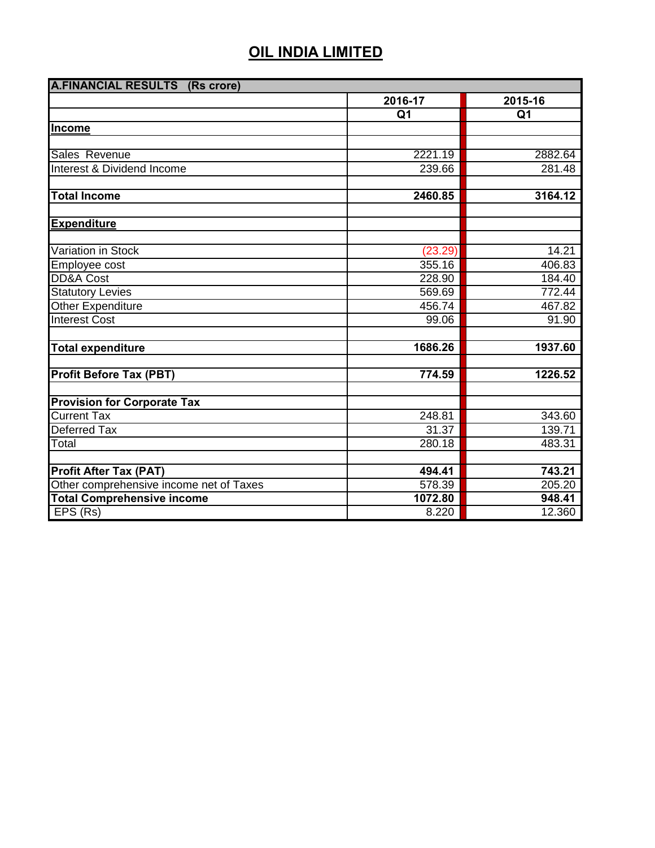| <b>A.FINANCIAL RESULTS (Rs crore)</b>   |                |                |
|-----------------------------------------|----------------|----------------|
|                                         | 2016-17        | 2015-16        |
|                                         | Q <sub>1</sub> | Q <sub>1</sub> |
| Income                                  |                |                |
|                                         |                |                |
| Sales Revenue                           | 2221.19        | 2882.64        |
| Interest & Dividend Income              | 239.66         | 281.48         |
|                                         |                |                |
| <b>Total Income</b>                     | 2460.85        | 3164.12        |
|                                         |                |                |
| <b>Expenditure</b>                      |                |                |
|                                         |                |                |
| Variation in Stock                      | (23.29)        | 14.21          |
| Employee cost                           | 355.16         | 406.83         |
| <b>DD&amp;A Cost</b>                    | 228.90         | 184.40         |
| <b>Statutory Levies</b>                 | 569.69         | 772.44         |
| Other Expenditure                       | 456.74         | 467.82         |
| <b>Interest Cost</b>                    | 99.06          | 91.90          |
|                                         |                |                |
| <b>Total expenditure</b>                | 1686.26        | 1937.60        |
|                                         |                |                |
| <b>Profit Before Tax (PBT)</b>          | 774.59         | 1226.52        |
|                                         |                |                |
| <b>Provision for Corporate Tax</b>      |                |                |
| <b>Current Tax</b>                      | 248.81         | 343.60         |
| <b>Deferred Tax</b>                     | 31.37          | 139.71         |
| Total                                   | 280.18         | 483.31         |
|                                         |                |                |
| <b>Profit After Tax (PAT)</b>           | 494.41         | 743.21         |
| Other comprehensive income net of Taxes | 578.39         | 205.20         |
| <b>Total Comprehensive income</b>       | 1072.80        | 948.41         |
| EPS(Rs)                                 | 8.220          | 12.360         |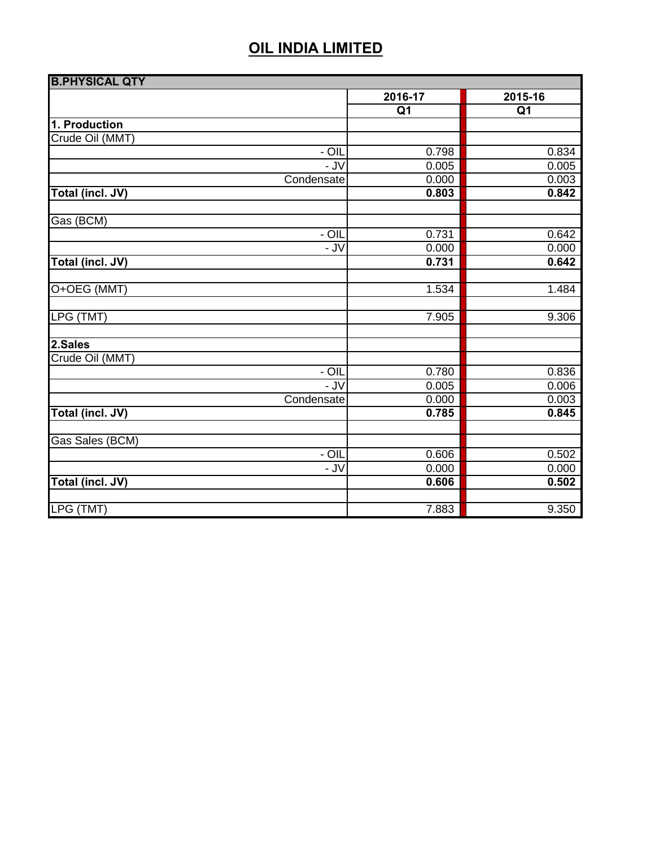| <b>B.PHYSICAL QTY</b>   |                 |                 |
|-------------------------|-----------------|-----------------|
|                         | 2016-17         | 2015-16         |
|                         | $\overline{Q1}$ | $\overline{Q1}$ |
| 1. Production           |                 |                 |
| Crude Oil (MMT)         |                 |                 |
| $- OIL$                 | 0.798           | 0.834           |
| - JV                    | 0.005           | 0.005           |
| Condensate              | 0.000           | 0.003           |
| <b>Total (incl. JV)</b> | 0.803           | 0.842           |
| Gas (BCM)               |                 |                 |
| - OIL                   | 0.731           | 0.642           |
| $-$ JV                  | 0.000           | 0.000           |
| Total (incl. JV)        | 0.731           | 0.642           |
| O+OEG (MMT)             | 1.534           | 1.484           |
| LPG (TMT)               | 7.905           | 9.306           |
| 2.Sales                 |                 |                 |
| Crude Oil (MMT)         |                 |                 |
| - OIL                   | 0.780           | 0.836           |
| - JV                    | 0.005           | 0.006           |
| Condensate              | 0.000           | 0.003           |
| Total (incl. JV)        | 0.785           | 0.845           |
| Gas Sales (BCM)         |                 |                 |
| $-$ OIL                 | 0.606           | 0.502           |
| - JV                    | 0.000           | 0.000           |
| Total (incl. JV)        | 0.606           | 0.502           |
| LPG (TMT)               | 7.883           | 9.350           |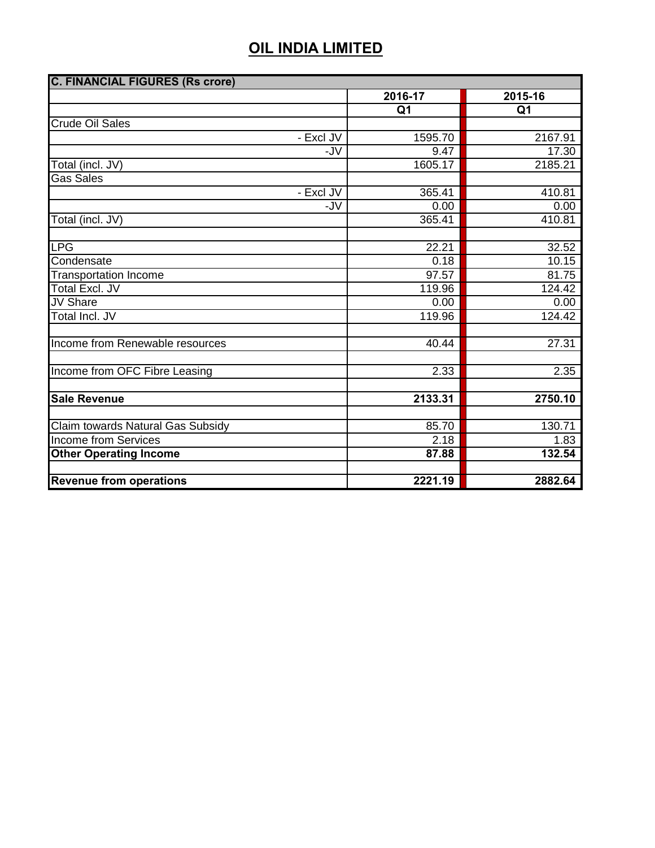| <b>C. FINANCIAL FIGURES (Rs crore)</b> |                |                |  |
|----------------------------------------|----------------|----------------|--|
|                                        | 2016-17        | 2015-16        |  |
|                                        | Q <sub>1</sub> | Q <sub>1</sub> |  |
| <b>Crude Oil Sales</b>                 |                |                |  |
| - Excl JV                              | 1595.70        | 2167.91        |  |
| -JV                                    | 9.47           | 17.30          |  |
| Total (incl. JV)                       | 1605.17        | 2185.21        |  |
| <b>Gas Sales</b>                       |                |                |  |
| - Excl JV                              | 365.41         | 410.81         |  |
| -JV                                    | 0.00           | 0.00           |  |
| Total (incl. JV)                       | 365.41         | 410.81         |  |
|                                        |                |                |  |
| <b>LPG</b>                             | 22.21          | 32.52          |  |
| Condensate                             | 0.18           | 10.15          |  |
| <b>Transportation Income</b>           | 97.57          | 81.75          |  |
| <b>Total Excl. JV</b>                  | 119.96         | 124.42         |  |
| <b>JV Share</b>                        | 0.00           | 0.00           |  |
| Total Incl. JV                         | 119.96         | 124.42         |  |
|                                        |                |                |  |
| Income from Renewable resources        | 40.44          | 27.31          |  |
|                                        |                |                |  |
| Income from OFC Fibre Leasing          | 2.33           | 2.35           |  |
|                                        |                |                |  |
| <b>Sale Revenue</b>                    | 2133.31        | 2750.10        |  |
|                                        |                |                |  |
| Claim towards Natural Gas Subsidy      | 85.70          | 130.71         |  |
| <b>Income from Services</b>            | 2.18           | 1.83           |  |
| <b>Other Operating Income</b>          | 87.88          | 132.54         |  |
|                                        |                |                |  |
| <b>Revenue from operations</b>         | 2221.19        | 2882.64        |  |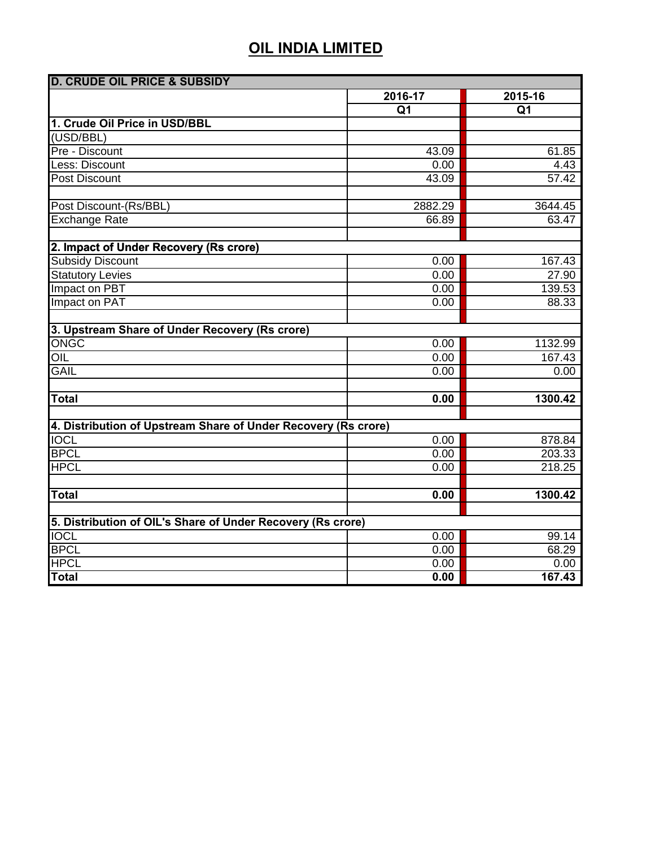| <b>D. CRUDE OIL PRICE &amp; SUBSIDY</b>                        |                |                |
|----------------------------------------------------------------|----------------|----------------|
|                                                                | 2016-17        | 2015-16        |
|                                                                | Q <sub>1</sub> | Q <sub>1</sub> |
| 1. Crude Oil Price in USD/BBL                                  |                |                |
| (USD/BBL)                                                      |                |                |
| Pre - Discount                                                 | 43.09          | 61.85          |
| Less: Discount                                                 | 0.00           | 4.43           |
| Post Discount                                                  | 43.09          | 57.42          |
|                                                                |                |                |
| Post Discount-(Rs/BBL)                                         | 2882.29        | 3644.45        |
| <b>Exchange Rate</b>                                           | 66.89          | 63.47          |
|                                                                |                |                |
| 2. Impact of Under Recovery (Rs crore)                         |                |                |
| <b>Subsidy Discount</b>                                        | 0.00           | 167.43         |
| <b>Statutory Levies</b>                                        | 0.00           | 27.90          |
| Impact on PBT                                                  | 0.00           | 139.53         |
| Impact on PAT                                                  | 0.00           | 88.33          |
| 3. Upstream Share of Under Recovery (Rs crore)                 |                |                |
| ONGC                                                           | 0.00           | 1132.99        |
| OIL                                                            | 0.00           | 167.43         |
| <b>GAIL</b>                                                    | 0.00           | 0.00           |
|                                                                |                |                |
| <b>Total</b>                                                   | 0.00           | 1300.42        |
|                                                                |                |                |
| 4. Distribution of Upstream Share of Under Recovery (Rs crore) |                |                |
| <b>IOCL</b>                                                    | 0.00           | 878.84         |
| <b>BPCL</b>                                                    | 0.00           | 203.33         |
| <b>HPCL</b>                                                    | 0.00           | 218.25         |
|                                                                |                |                |
| <b>Total</b>                                                   | 0.00           | 1300.42        |
|                                                                |                |                |
| 5. Distribution of OIL's Share of Under Recovery (Rs crore)    |                |                |
| <b>IOCL</b><br><b>BPCL</b>                                     | 0.00           | 99.14          |
| <b>HPCL</b>                                                    | 0.00           | 68.29          |
| <b>Total</b>                                                   | 0.00           | 0.00<br>167.43 |
|                                                                | 0.00           |                |